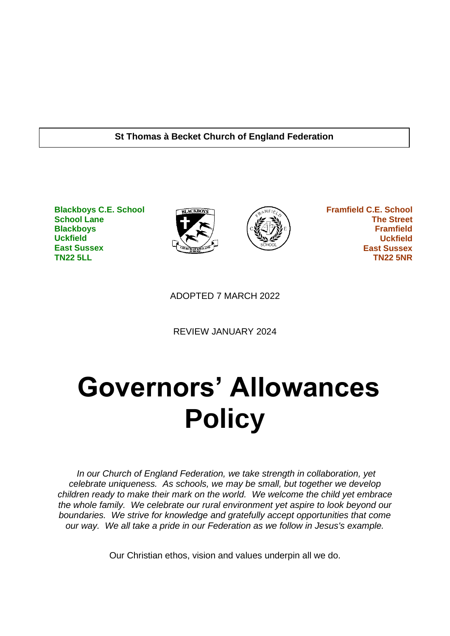#### **St Thomas à Becket Church of England Federation**

**Blackboys C.E. School School Lane Blackboys Uckfield East Sussex TN22 5LL**





 **Framfield C.E. School The Street Framfield Uckfield East Sussex TN22 5NR**

ADOPTED 7 MARCH 2022

REVIEW JANUARY 2024

# **Governors' Allowances Policy**

*In our Church of England Federation, we take strength in collaboration, yet celebrate uniqueness. As schools, we may be small, but together we develop children ready to make their mark on the world. We welcome the child yet embrace the whole family. We celebrate our rural environment yet aspire to look beyond our boundaries. We strive for knowledge and gratefully accept opportunities that come our way. We all take a pride in our Federation as we follow in Jesus's example.*

Our Christian ethos, vision and values underpin all we do.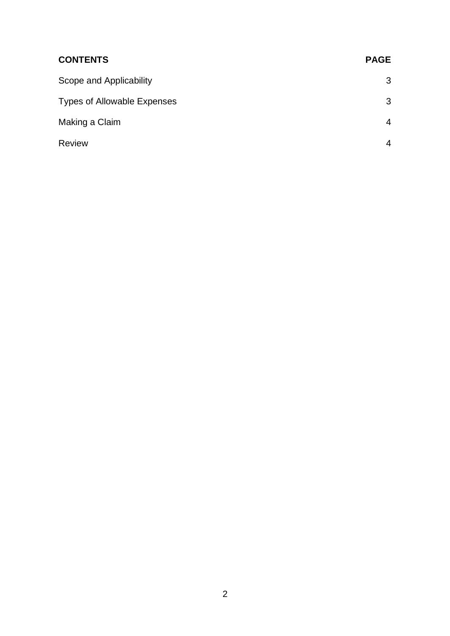| <b>CONTENTS</b>                    | <b>PAGE</b> |
|------------------------------------|-------------|
| Scope and Applicability            | 3           |
| <b>Types of Allowable Expenses</b> | 3           |
| Making a Claim                     | 4           |
| <b>Review</b>                      | 4           |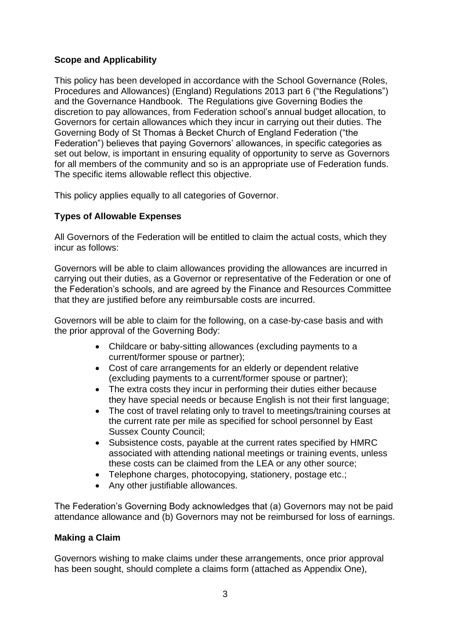### **Scope and Applicability**

This policy has been developed in accordance with the School Governance (Roles, Procedures and Allowances) (England) Regulations 2013 part 6 ("the Regulations") and the Governance Handbook. The Regulations give Governing Bodies the discretion to pay allowances, from Federation school's annual budget allocation, to Governors for certain allowances which they incur in carrying out their duties. The Governing Body of St Thomas à Becket Church of England Federation ("the Federation") believes that paying Governors' allowances, in specific categories as set out below, is important in ensuring equality of opportunity to serve as Governors for all members of the community and so is an appropriate use of Federation funds. The specific items allowable reflect this objective.

This policy applies equally to all categories of Governor.

#### **Types of Allowable Expenses**

All Governors of the Federation will be entitled to claim the actual costs, which they incur as follows:

Governors will be able to claim allowances providing the allowances are incurred in carrying out their duties, as a Governor or representative of the Federation or one of the Federation's schools, and are agreed by the Finance and Resources Committee that they are justified before any reimbursable costs are incurred.

Governors will be able to claim for the following, on a case-by-case basis and with the prior approval of the Governing Body:

- Childcare or baby-sitting allowances (excluding payments to a current/former spouse or partner);
- Cost of care arrangements for an elderly or dependent relative (excluding payments to a current/former spouse or partner);
- The extra costs they incur in performing their duties either because they have special needs or because English is not their first language;
- The cost of travel relating only to travel to meetings/training courses at the current rate per mile as specified for school personnel by East Sussex County Council;
- Subsistence costs, payable at the current rates specified by HMRC associated with attending national meetings or training events, unless these costs can be claimed from the LEA or any other source;
- Telephone charges, photocopying, stationery, postage etc.;
- Any other justifiable allowances.

The Federation's Governing Body acknowledges that (a) Governors may not be paid attendance allowance and (b) Governors may not be reimbursed for loss of earnings.

#### **Making a Claim**

Governors wishing to make claims under these arrangements, once prior approval has been sought, should complete a claims form (attached as Appendix One),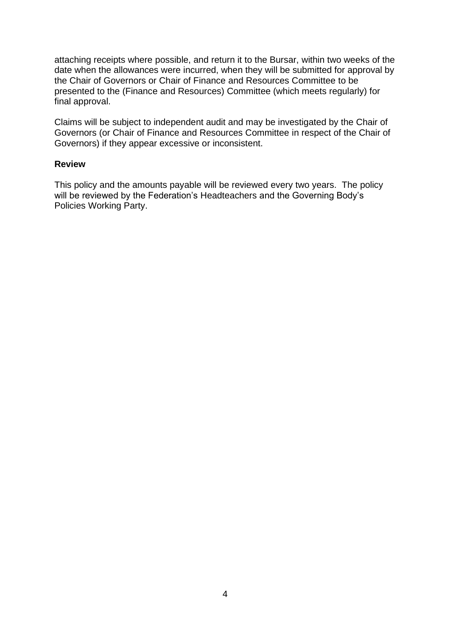attaching receipts where possible, and return it to the Bursar, within two weeks of the date when the allowances were incurred, when they will be submitted for approval by the Chair of Governors or Chair of Finance and Resources Committee to be presented to the (Finance and Resources) Committee (which meets regularly) for final approval.

Claims will be subject to independent audit and may be investigated by the Chair of Governors (or Chair of Finance and Resources Committee in respect of the Chair of Governors) if they appear excessive or inconsistent.

#### **Review**

This policy and the amounts payable will be reviewed every two years. The policy will be reviewed by the Federation's Headteachers and the Governing Body's Policies Working Party.